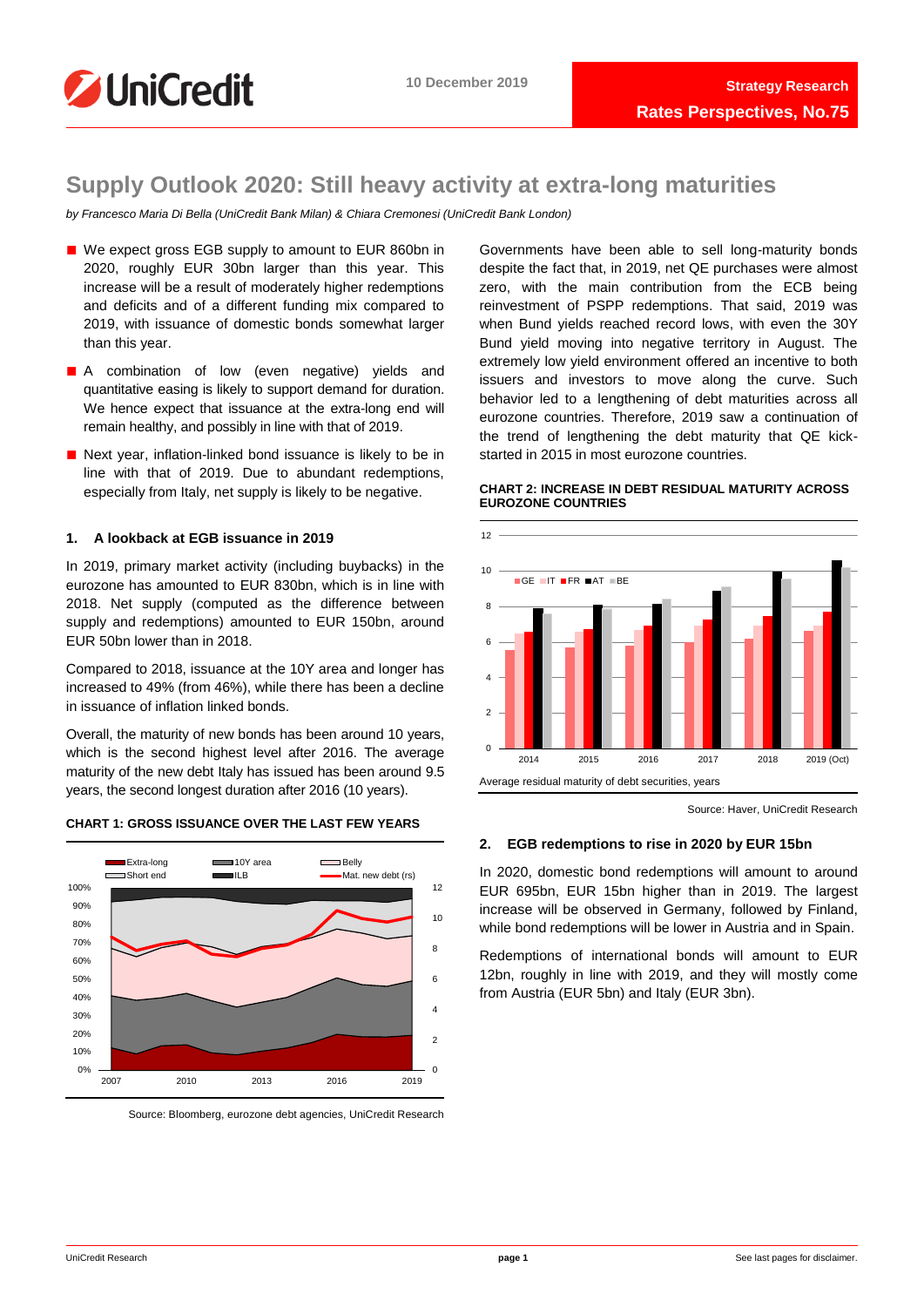

# **Supply Outlook 2020: Still heavy activity at extra-long maturities**

*by Francesco Maria Di Bella (UniCredit Bank Milan) & Chiara Cremonesi (UniCredit Bank London)*

- We expect gross EGB supply to amount to EUR 860bn in 2020, roughly EUR 30bn larger than this year. This increase will be a result of moderately higher redemptions and deficits and of a different funding mix compared to 2019, with issuance of domestic bonds somewhat larger than this year.
- A combination of low (even negative) yields and quantitative easing is likely to support demand for duration. We hence expect that issuance at the extra-long end will remain healthy, and possibly in line with that of 2019.
- Next year, inflation-linked bond issuance is likely to be in line with that of 2019. Due to abundant redemptions, especially from Italy, net supply is likely to be negative.

# **1. A lookback at EGB issuance in 2019**

In 2019, primary market activity (including buybacks) in the eurozone has amounted to EUR 830bn, which is in line with 2018. Net supply (computed as the difference between supply and redemptions) amounted to EUR 150bn, around EUR 50bn lower than in 2018.

Compared to 2018, issuance at the 10Y area and longer has increased to 49% (from 46%), while there has been a decline in issuance of inflation linked bonds.

Overall, the maturity of new bonds has been around 10 years, which is the second highest level after 2016. The average maturity of the new debt Italy has issued has been around 9.5 years, the second longest duration after 2016 (10 years).





Source: Bloomberg, eurozone debt agencies, UniCredit Research

Governments have been able to sell long-maturity bonds despite the fact that, in 2019, net QE purchases were almost zero, with the main contribution from the ECB being reinvestment of PSPP redemptions. That said, 2019 was when Bund yields reached record lows, with even the 30Y Bund yield moving into negative territory in August. The extremely low yield environment offered an incentive to both issuers and investors to move along the curve. Such behavior led to a lengthening of debt maturities across all eurozone countries. Therefore, 2019 saw a continuation of the trend of lengthening the debt maturity that QE kickstarted in 2015 in most eurozone countries.

# **CHART 2: INCREASE IN DEBT RESIDUAL MATURITY ACROSS EUROZONE COUNTRIES**



Source: Haver, UniCredit Research

# **2. EGB redemptions to rise in 2020 by EUR 15bn**

In 2020, domestic bond redemptions will amount to around EUR 695bn, EUR 15bn higher than in 2019. The largest increase will be observed in Germany, followed by Finland, while bond redemptions will be lower in Austria and in Spain.

Redemptions of international bonds will amount to EUR 12bn, roughly in line with 2019, and they will mostly come from Austria (EUR 5bn) and Italy (EUR 3bn).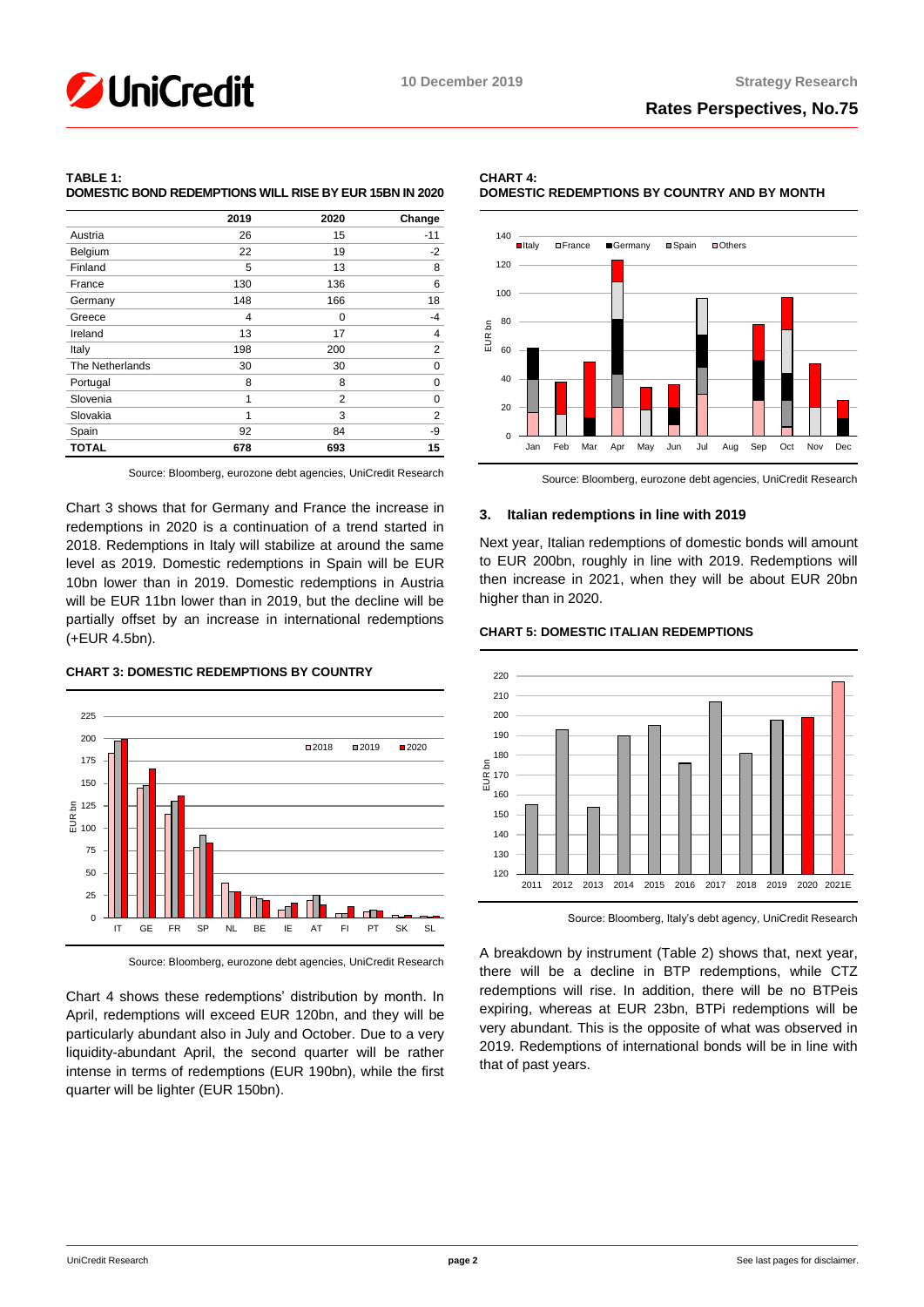

# **TABLE 1: DOMESTIC BOND REDEMPTIONS WILL RISE BY EUR 15BN IN 2020**

|                 | 2019 | 2020 | Change         |
|-----------------|------|------|----------------|
| Austria         | 26   | 15   | $-11$          |
| Belgium         | 22   | 19   | $-2$           |
| Finland         | 5    | 13   | 8              |
| France          | 130  | 136  | 6              |
| Germany         | 148  | 166  | 18             |
| Greece          | 4    | 0    | -4             |
| Ireland         | 13   | 17   | 4              |
| Italy           | 198  | 200  | $\overline{2}$ |
| The Netherlands | 30   | 30   | 0              |
| Portugal        | 8    | 8    | 0              |
| Slovenia        | 1    | 2    | 0              |
| Slovakia        | 1    | 3    | 2              |
| Spain           | 92   | 84   | -9             |
| <b>TOTAL</b>    | 678  | 693  | 15             |

Source: Bloomberg, eurozone debt agencies, UniCredit Research

Chart 3 shows that for Germany and France the increase in redemptions in 2020 is a continuation of a trend started in 2018. Redemptions in Italy will stabilize at around the same level as 2019. Domestic redemptions in Spain will be EUR 10bn lower than in 2019. Domestic redemptions in Austria will be EUR 11bn lower than in 2019, but the decline will be partially offset by an increase in international redemptions (+EUR 4.5bn).

# **CHART 3: DOMESTIC REDEMPTIONS BY COUNTRY**



Source: Bloomberg, eurozone debt agencies, UniCredit Research

Chart 4 shows these redemptions' distribution by month. In April, redemptions will exceed EUR 120bn, and they will be particularly abundant also in July and October. Due to a very liquidity-abundant April, the second quarter will be rather intense in terms of redemptions (EUR 190bn), while the first quarter will be lighter (EUR 150bn).





Source: Bloomberg, eurozone debt agencies, UniCredit Research

# **3. Italian redemptions in line with 2019**

Next year, Italian redemptions of domestic bonds will amount to EUR 200bn, roughly in line with 2019. Redemptions will then increase in 2021, when they will be about EUR 20bn higher than in 2020.

## **CHART 5: DOMESTIC ITALIAN REDEMPTIONS**



Source: Bloomberg, Italy's debt agency, UniCredit Research

A breakdown by instrument (Table 2) shows that, next year, there will be a decline in BTP redemptions, while CTZ redemptions will rise. In addition, there will be no BTPeis expiring, whereas at EUR 23bn, BTPi redemptions will be very abundant. This is the opposite of what was observed in 2019. Redemptions of international bonds will be in line with that of past years.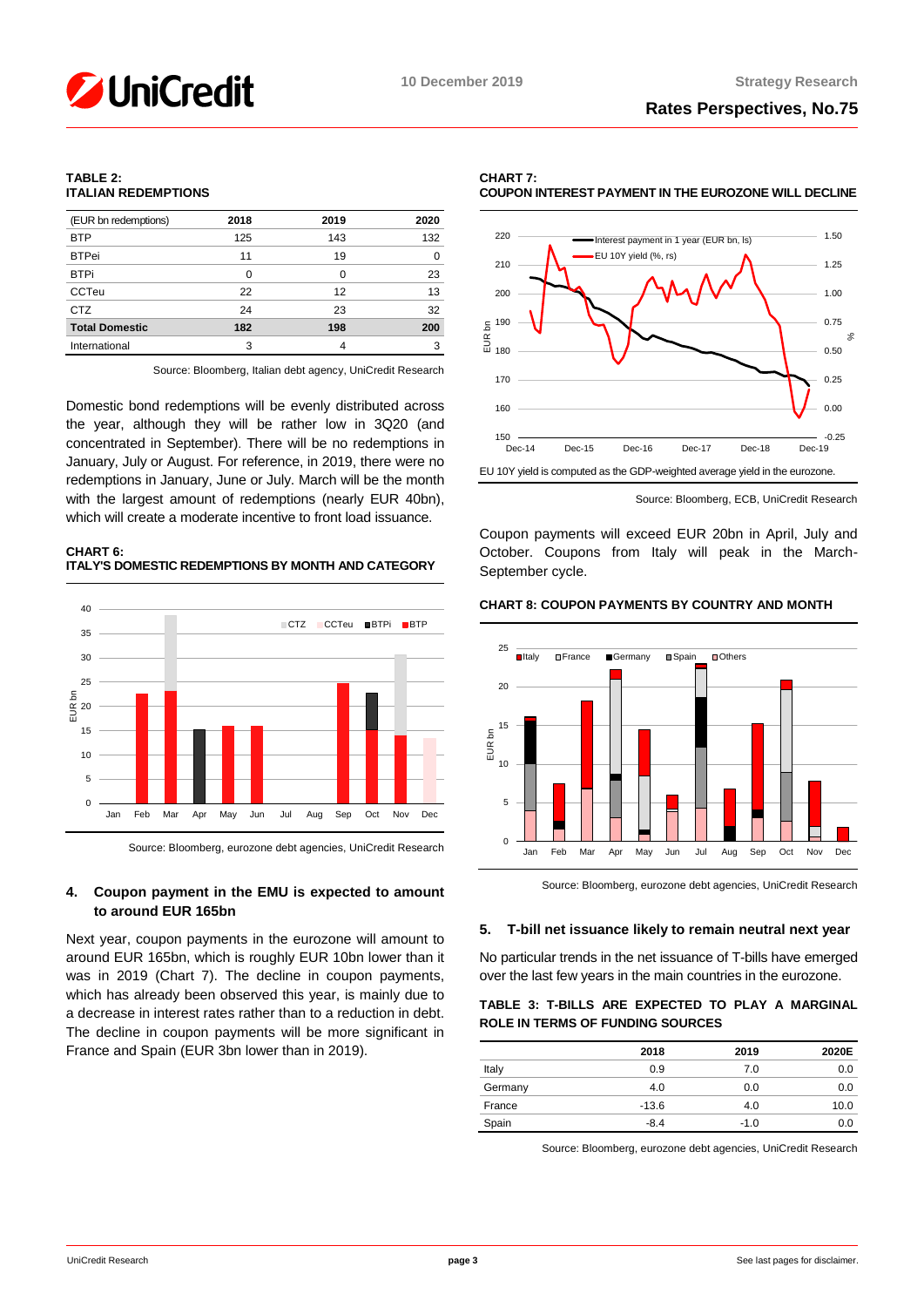# **TABLE 2: ITALIAN REDEMPTIONS**

| (EUR bn redemptions)  | 2018 | 2019 | 2020 |
|-----------------------|------|------|------|
| <b>BTP</b>            | 125  | 143  | 132  |
| <b>BTPei</b>          | 11   | 19   | O    |
| <b>BTPi</b>           | 0    | 0    | 23   |
| <b>CCTeu</b>          | 22   | 12   | 13   |
| <b>CTZ</b>            | 24   | 23   | 32   |
| <b>Total Domestic</b> | 182  | 198  | 200  |
| International         | 3    |      | 3    |

Source: Bloomberg, Italian debt agency, UniCredit Research

Domestic bond redemptions will be evenly distributed across the year, although they will be rather low in 3Q20 (and concentrated in September). There will be no redemptions in January, July or August. For reference, in 2019, there were no redemptions in January, June or July. March will be the month with the largest amount of redemptions (nearly EUR 40bn), which will create a moderate incentive to front load issuance.

# **CHART 6: ITALY'S DOMESTIC REDEMPTIONS BY MONTH AND CATEGORY**



Source: Bloomberg, eurozone debt agencies, UniCredit Research

# **4. Coupon payment in the EMU is expected to amount to around EUR 165bn**

Next year, coupon payments in the eurozone will amount to around EUR 165bn, which is roughly EUR 10bn lower than it was in 2019 (Chart 7). The decline in coupon payments, which has already been observed this year, is mainly due to a decrease in interest rates rather than to a reduction in debt. The decline in coupon payments will be more significant in France and Spain (EUR 3bn lower than in 2019).





Source: Bloomberg, ECB, UniCredit Research

Coupon payments will exceed EUR 20bn in April, July and October. Coupons from Italy will peak in the March-September cycle.

# **CHART 8: COUPON PAYMENTS BY COUNTRY AND MONTH**



Source: Bloomberg, eurozone debt agencies, UniCredit Research

# **5. T-bill net issuance likely to remain neutral next year**

No particular trends in the net issuance of T-bills have emerged over the last few years in the main countries in the eurozone.

# **TABLE 3: T-BILLS ARE EXPECTED TO PLAY A MARGINAL ROLE IN TERMS OF FUNDING SOURCES**

|         | 2018    | 2019   | 2020E |
|---------|---------|--------|-------|
| Italy   | 0.9     | 7.0    | 0.0   |
| Germany | 4.0     | 0.0    | 0.0   |
| France  | $-13.6$ | 4.0    | 10.0  |
| Spain   | $-8.4$  | $-1.0$ | 0.0   |

Source: Bloomberg, eurozone debt agencies, UniCredit Research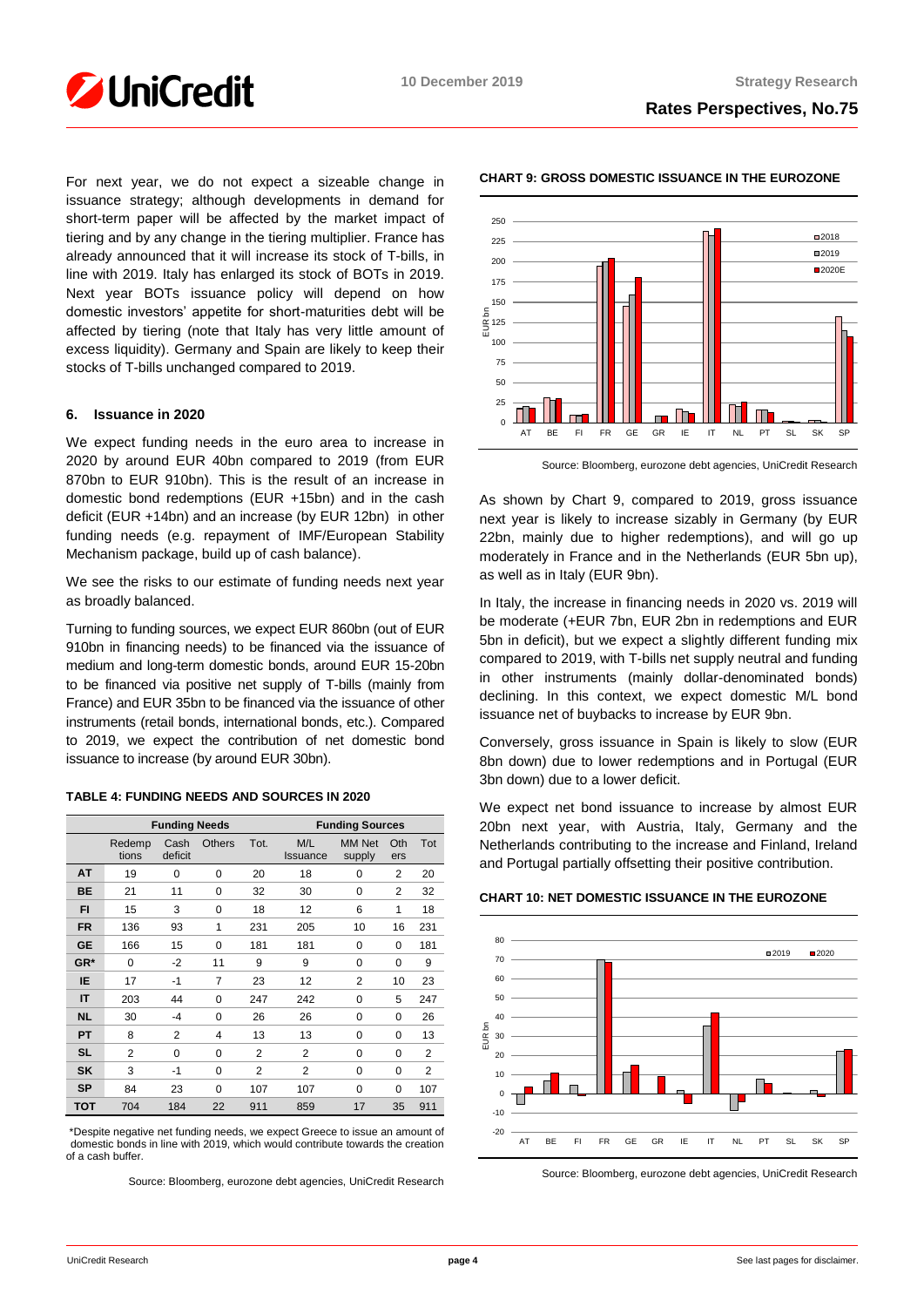

For next year, we do not expect a sizeable change in issuance strategy; although developments in demand for short-term paper will be affected by the market impact of tiering and by any change in the tiering multiplier. France has already announced that it will increase its stock of T-bills, in line with 2019. Italy has enlarged its stock of BOTs in 2019. Next year BOTs issuance policy will depend on how domestic investors' appetite for short-maturities debt will be affected by tiering (note that Italy has very little amount of excess liquidity). Germany and Spain are likely to keep their stocks of T-bills unchanged compared to 2019.

# **6. Issuance in 2020**

We expect funding needs in the euro area to increase in 2020 by around EUR 40bn compared to 2019 (from EUR 870bn to EUR 910bn). This is the result of an increase in domestic bond redemptions (EUR +15bn) and in the cash deficit (EUR +14bn) and an increase (by EUR 12bn) in other funding needs (e.g. repayment of IMF/European Stability Mechanism package, build up of cash balance).

We see the risks to our estimate of funding needs next year as broadly balanced.

Turning to funding sources, we expect EUR 860bn (out of EUR 910bn in financing needs) to be financed via the issuance of medium and long-term domestic bonds, around EUR 15-20bn to be financed via positive net supply of T-bills (mainly from France) and EUR 35bn to be financed via the issuance of other instruments (retail bonds, international bonds, etc.). Compared to 2019, we expect the contribution of net domestic bond issuance to increase (by around EUR 30bn).

## **TABLE 4: FUNDING NEEDS AND SOURCES IN 2020**

|            | <b>Funding Needs</b> |                 |               | <b>Funding Sources</b> |                        |                         |            |     |
|------------|----------------------|-----------------|---------------|------------------------|------------------------|-------------------------|------------|-----|
|            | Redemp<br>tions      | Cash<br>deficit | <b>Others</b> | Tot.                   | M/L<br><b>Issuance</b> | <b>MM Net</b><br>supply | Oth<br>ers | Tot |
| AT         | 19                   | 0               | 0             | 20                     | 18                     | 0                       | 2          | 20  |
| <b>BE</b>  | 21                   | 11              | 0             | 32                     | 30                     | 0                       | 2          | 32  |
| FI         | 15                   | 3               | 0             | 18                     | 12                     | 6                       | 1          | 18  |
| <b>FR</b>  | 136                  | 93              | 1             | 231                    | 205                    | 10                      | 16         | 231 |
| <b>GE</b>  | 166                  | 15              | 0             | 181                    | 181                    | 0                       | 0          | 181 |
| GR*        | 0                    | $-2$            | 11            | 9                      | 9                      | 0                       | 0          | 9   |
| IE         | 17                   | $-1$            | 7             | 23                     | 12                     | $\overline{2}$          | 10         | 23  |
| IT         | 203                  | 44              | 0             | 247                    | 242                    | 0                       | 5          | 247 |
| <b>NL</b>  | 30                   | $-4$            | 0             | 26                     | 26                     | 0                       | 0          | 26  |
| <b>PT</b>  | 8                    | 2               | 4             | 13                     | 13                     | 0                       | 0          | 13  |
| <b>SL</b>  | 2                    | $\Omega$        | 0             | 2                      | 2                      | $\Omega$                | $\Omega$   | 2   |
| <b>SK</b>  | 3                    | $-1$            | 0             | $\overline{2}$         | 2                      | 0                       | 0          | 2   |
| <b>SP</b>  | 84                   | 23              | $\Omega$      | 107                    | 107                    | $\Omega$                | $\Omega$   | 107 |
| <b>TOT</b> | 704                  | 184             | 22            | 911                    | 859                    | 17                      | 35         | 911 |

\*Despite negative net funding needs, we expect Greece to issue an amount of domestic bonds in line with 2019, which would contribute towards the creation of a cash buffer.

Source: Bloomberg, eurozone debt agencies, UniCredit Research



# **CHART 9: GROSS DOMESTIC ISSUANCE IN THE EUROZONE**

Source: Bloomberg, eurozone debt agencies, UniCredit Research

As shown by Chart 9, compared to 2019, gross issuance next year is likely to increase sizably in Germany (by EUR 22bn, mainly due to higher redemptions), and will go up moderately in France and in the Netherlands (EUR 5bn up), as well as in Italy (EUR 9bn).

In Italy, the increase in financing needs in 2020 vs. 2019 will be moderate (+EUR 7bn, EUR 2bn in redemptions and EUR 5bn in deficit), but we expect a slightly different funding mix compared to 2019, with T-bills net supply neutral and funding in other instruments (mainly dollar-denominated bonds) declining. In this context, we expect domestic M/L bond issuance net of buybacks to increase by EUR 9bn.

Conversely, gross issuance in Spain is likely to slow (EUR 8bn down) due to lower redemptions and in Portugal (EUR 3bn down) due to a lower deficit.

We expect net bond issuance to increase by almost EUR 20bn next year, with Austria, Italy, Germany and the Netherlands contributing to the increase and Finland, Ireland and Portugal partially offsetting their positive contribution.

## **CHART 10: NET DOMESTIC ISSUANCE IN THE EUROZONE**



Source: Bloomberg, eurozone debt agencies, UniCredit Research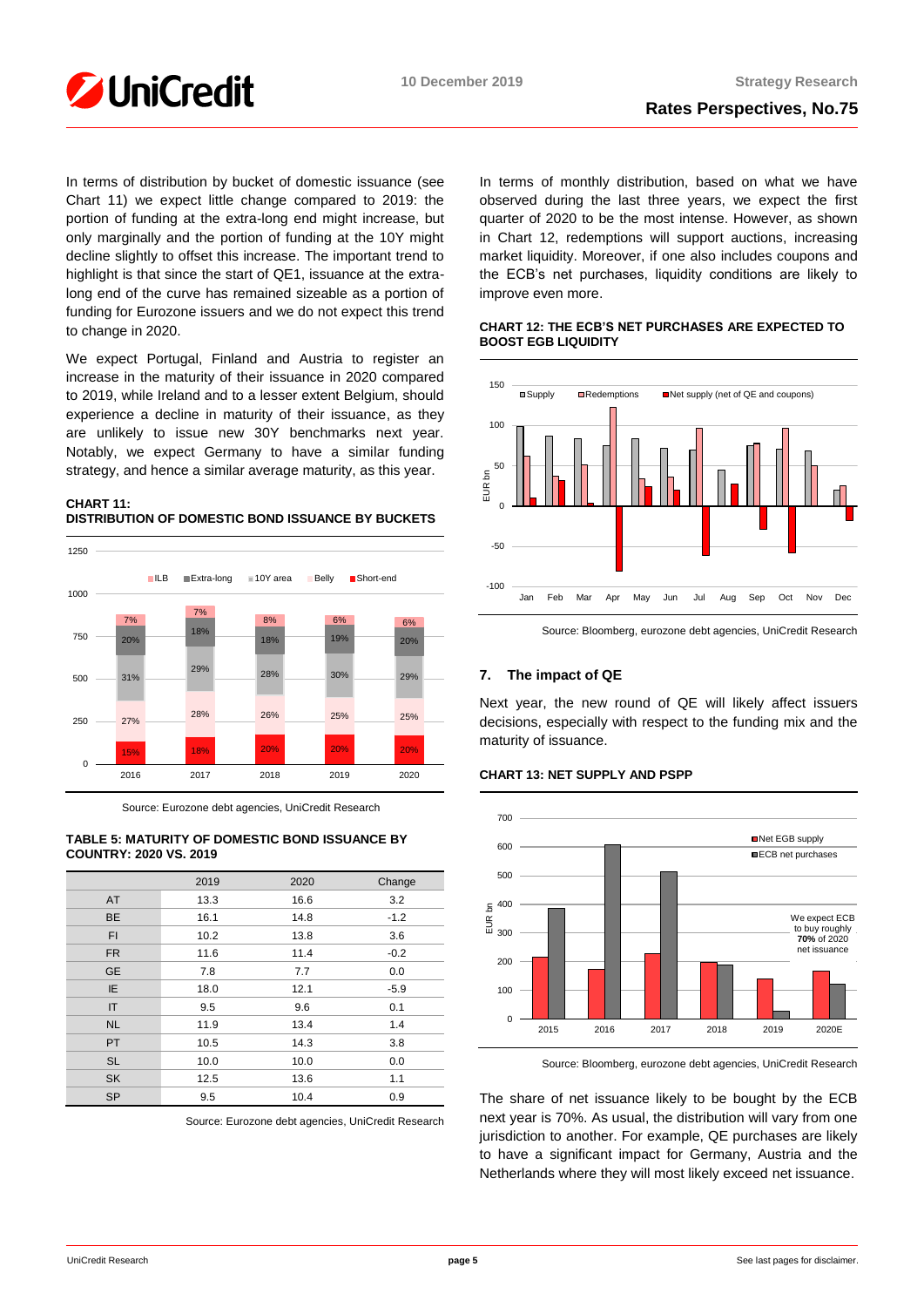

In terms of distribution by bucket of domestic issuance (see Chart 11) we expect little change compared to 2019: the portion of funding at the extra-long end might increase, but only marginally and the portion of funding at the 10Y might decline slightly to offset this increase. The important trend to highlight is that since the start of QE1, issuance at the extralong end of the curve has remained sizeable as a portion of funding for Eurozone issuers and we do not expect this trend to change in 2020.

We expect Portugal, Finland and Austria to register an increase in the maturity of their issuance in 2020 compared to 2019, while Ireland and to a lesser extent Belgium, should experience a decline in maturity of their issuance, as they are unlikely to issue new 30Y benchmarks next year. Notably, we expect Germany to have a similar funding strategy, and hence a similar average maturity, as this year.

# **CHART 11: DISTRIBUTION OF DOMESTIC BOND ISSUANCE BY BUCKETS**



Source: Eurozone debt agencies, UniCredit Research

# **TABLE 5: MATURITY OF DOMESTIC BOND ISSUANCE BY COUNTRY: 2020 VS. 2019**

|              | 2019 | 2020 | Change |
|--------------|------|------|--------|
| AT           | 13.3 | 16.6 | 3.2    |
| <b>BE</b>    | 16.1 | 14.8 | $-1.2$ |
| <b>FI</b>    | 10.2 | 13.8 | 3.6    |
| <b>FR</b>    | 11.6 | 11.4 | $-0.2$ |
| <b>GE</b>    | 7.8  | 7.7  | 0.0    |
| IE.          | 18.0 | 12.1 | $-5.9$ |
| $\mathsf{I}$ | 9.5  | 9.6  | 0.1    |
| <b>NL</b>    | 11.9 | 13.4 | 1.4    |
| <b>PT</b>    | 10.5 | 14.3 | 3.8    |
| <b>SL</b>    | 10.0 | 10.0 | 0.0    |
| <b>SK</b>    | 12.5 | 13.6 | 1.1    |
| <b>SP</b>    | 9.5  | 10.4 | 0.9    |

Source: Eurozone debt agencies, UniCredit Research

In terms of monthly distribution, based on what we have observed during the last three years, we expect the first quarter of 2020 to be the most intense. However, as shown in Chart 12, redemptions will support auctions, increasing market liquidity. Moreover, if one also includes coupons and the ECB's net purchases, liquidity conditions are likely to improve even more.

# **CHART 12: THE ECB'S NET PURCHASES ARE EXPECTED TO BOOST EGB LIQUIDITY**



Source: Bloomberg, eurozone debt agencies, UniCredit Research

# **7. The impact of QE**

Next year, the new round of QE will likely affect issuers decisions, especially with respect to the funding mix and the maturity of issuance.

# **CHART 13: NET SUPPLY AND PSPP**



Source: Bloomberg, eurozone debt agencies, UniCredit Research

The share of net issuance likely to be bought by the ECB next year is 70%. As usual, the distribution will vary from one jurisdiction to another. For example, QE purchases are likely to have a significant impact for Germany, Austria and the Netherlands where they will most likely exceed net issuance.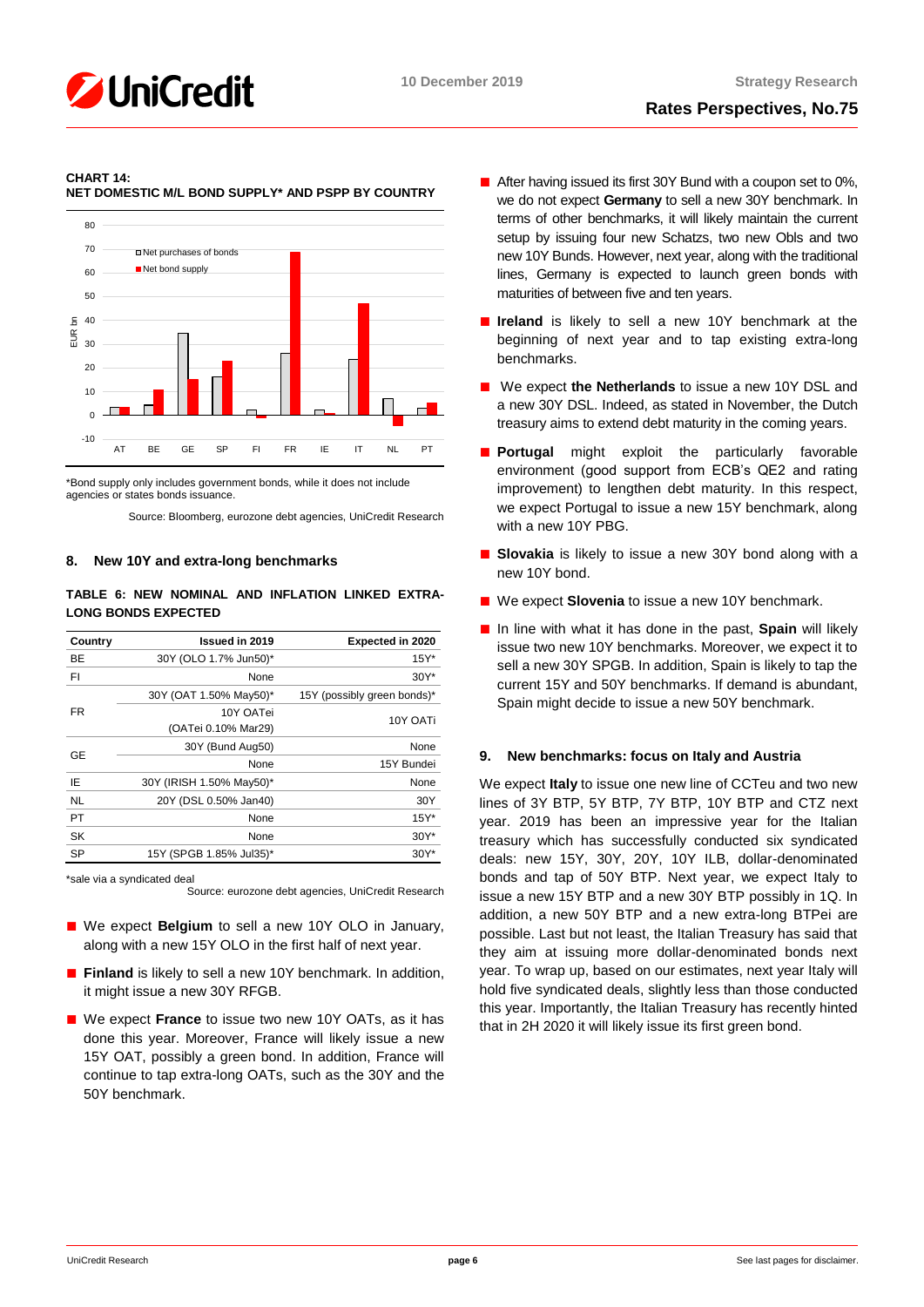

#### **CHART 14: NET DOMESTIC M/L BOND SUPPLY\* AND PSPP BY COUNTRY**



\*Bond supply only includes government bonds, while it does not include agencies or states bonds issuance.

Source: Bloomberg, eurozone debt agencies, UniCredit Research

# **8. New 10Y and extra-long benchmarks**

# **TABLE 6: NEW NOMINAL AND INFLATION LINKED EXTRA-LONG BONDS EXPECTED**

| Country   | Issued in 2019           | <b>Expected in 2020</b>     |
|-----------|--------------------------|-----------------------------|
| BE        | 30Y (OLO 1.7% Jun50)*    | $15Y^*$                     |
| FΙ        | None                     | $30Y^*$                     |
|           | 30Y (OAT 1.50% May50)*   | 15Y (possibly green bonds)* |
| FR        | 10Y OATei                | 10Y OATi                    |
|           | (OATei 0.10% Mar29)      |                             |
| GE        | 30Y (Bund Aug50)         | None                        |
|           | None                     | 15Y Bundei                  |
| IΕ        | 30Y (IRISH 1.50% May50)* | None                        |
| <b>NL</b> | 20Y (DSL 0.50% Jan40)    | 30Y                         |
| <b>PT</b> | None                     | $15Y^*$                     |
| <b>SK</b> | None                     | $30Y^*$                     |
| SP        | 15Y (SPGB 1.85% Jul35)*  | $30Y^*$                     |

\*sale via a syndicated deal

Source: eurozone debt agencies, UniCredit Research

- We expect **Belgium** to sell a new 10Y OLO in January, along with a new 15Y OLO in the first half of next year.
- **Finland** is likely to sell a new 10Y benchmark. In addition, it might issue a new 30Y RFGB.
- We expect **France** to issue two new 10Y OATs, as it has done this year. Moreover, France will likely issue a new 15Y OAT, possibly a green bond. In addition, France will continue to tap extra-long OATs, such as the 30Y and the 50Y benchmark.
- After having issued its first 30Y Bund with a coupon set to 0%, we do not expect **Germany** to sell a new 30Y benchmark. In terms of other benchmarks, it will likely maintain the current setup by issuing four new Schatzs, two new Obls and two new 10Y Bunds. However, next year, along with the traditional lines, Germany is expected to launch green bonds with maturities of between five and ten years.
- **Ireland** is likely to sell a new 10Y benchmark at the beginning of next year and to tap existing extra-long benchmarks.
- We expect the Netherlands to issue a new 10Y DSL and a new 30Y DSL. Indeed, as stated in November, the Dutch treasury aims to extend debt maturity in the coming years.
- **Portugal** might exploit the particularly favorable environment (good support from ECB's QE2 and rating improvement) to lengthen debt maturity. In this respect, we expect Portugal to issue a new 15Y benchmark, along with a new 10Y PBG.
- **Slovakia** is likely to issue a new 30Y bond along with a new 10Y bond.
- We expect **Slovenia** to issue a new 10Y benchmark.
- In line with what it has done in the past, **Spain** will likely issue two new 10Y benchmarks. Moreover, we expect it to sell a new 30Y SPGB. In addition, Spain is likely to tap the current 15Y and 50Y benchmarks. If demand is abundant, Spain might decide to issue a new 50Y benchmark.

# **9. New benchmarks: focus on Italy and Austria**

We expect **Italy** to issue one new line of CCTeu and two new lines of 3Y BTP, 5Y BTP, 7Y BTP, 10Y BTP and CTZ next year. 2019 has been an impressive year for the Italian treasury which has successfully conducted six syndicated deals: new 15Y, 30Y, 20Y, 10Y ILB, dollar-denominated bonds and tap of 50Y BTP. Next year, we expect Italy to issue a new 15Y BTP and a new 30Y BTP possibly in 1Q. In addition, a new 50Y BTP and a new extra-long BTPei are possible. Last but not least, the Italian Treasury has said that they aim at issuing more dollar-denominated bonds next year. To wrap up, based on our estimates, next year Italy will hold five syndicated deals, slightly less than those conducted this year. Importantly, the Italian Treasury has recently hinted that in 2H 2020 it will likely issue its first green bond.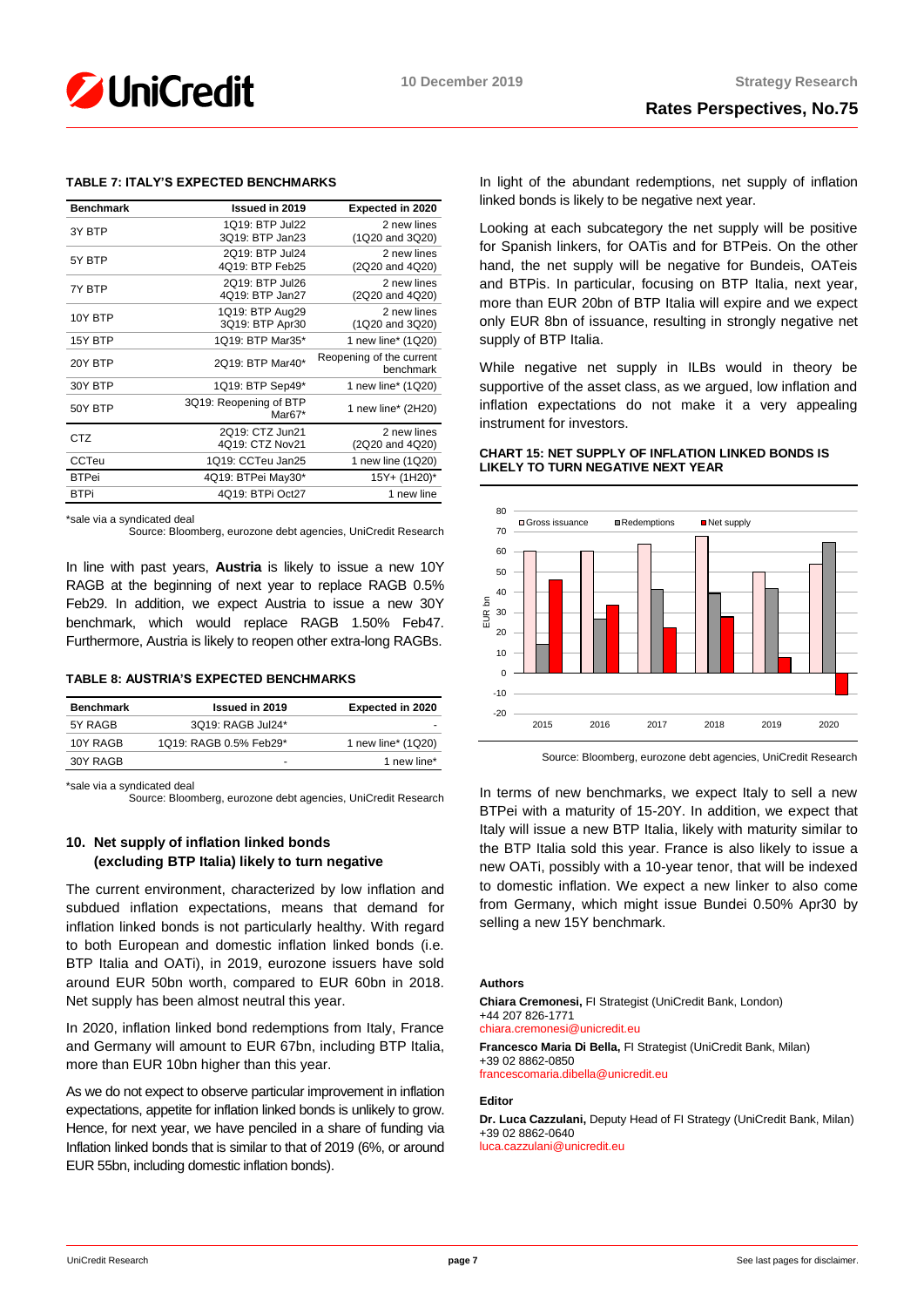

# **TABLE 7: ITALY'S EXPECTED BENCHMARKS**

| <b>Benchmark</b> | Issued in 2019                     | <b>Expected in 2020</b>               |
|------------------|------------------------------------|---------------------------------------|
| 3Y BTP           | 1Q19: BTP Jul22<br>3019: BTP Jan23 | 2 new lines<br>(1Q20 and 3Q20)        |
| 5Y BTP           | 2019: BTP Jul24<br>4Q19: BTP Feb25 | 2 new lines<br>(2Q20 and 4Q20)        |
| 7Y BTP           | 2Q19: BTP Jul26<br>4Q19: BTP Jan27 | 2 new lines<br>(2Q20 and 4Q20)        |
| 10Y BTP          | 1Q19: BTP Aug29<br>3Q19: BTP Apr30 | 2 new lines<br>(1Q20 and 3Q20)        |
| 15Y BTP          | 1Q19: BTP Mar35*                   | 1 new line* (1Q20)                    |
| 20Y BTP          | 2Q19: BTP Mar40*                   | Reopening of the current<br>benchmark |
| 30Y BTP          | 1Q19: BTP Sep49*                   | 1 new line* (1Q20)                    |
| 50Y BTP          | 3Q19: Reopening of BTP<br>Mar67*   | 1 new line* (2H20)                    |
| <b>CTZ</b>       | 2Q19: CTZ Jun21<br>4Q19: CTZ Nov21 | 2 new lines<br>(2Q20 and 4Q20)        |
| <b>CCTeu</b>     | 1Q19: CCTeu Jan25                  | 1 new line (1Q20)                     |
| <b>BTPei</b>     | 4Q19: BTPei May30*                 | 15Y+ (1H20)*                          |
| <b>BTPi</b>      | 4Q19: BTPi Oct27                   | 1 new line                            |

\*sale via a syndicated deal

Source: Bloomberg, eurozone debt agencies, UniCredit Research

In line with past years, **Austria** is likely to issue a new 10Y RAGB at the beginning of next year to replace RAGB 0.5% Feb29. In addition, we expect Austria to issue a new 30Y benchmark, which would replace RAGB 1.50% Feb47. Furthermore, Austria is likely to reopen other extra-long RAGBs.

## **TABLE 8: AUSTRIA'S EXPECTED BENCHMARKS**

| <b>Benchmark</b> | <b>Issued in 2019</b>  | <b>Expected in 2020</b> |
|------------------|------------------------|-------------------------|
| 5Y RAGB          | 3Q19: RAGB Jul24*      |                         |
| 10Y RAGB         | 1Q19: RAGB 0.5% Feb29* | 1 new line* (1Q20)      |
| 30Y RAGB         | -                      | 1 new line*             |

\*sale via a syndicated deal

Source: Bloomberg, eurozone debt agencies, UniCredit Research

# **10. Net supply of inflation linked bonds (excluding BTP Italia) likely to turn negative**

The current environment, characterized by low inflation and subdued inflation expectations, means that demand for inflation linked bonds is not particularly healthy. With regard to both European and domestic inflation linked bonds (i.e. BTP Italia and OATi), in 2019, eurozone issuers have sold around EUR 50bn worth, compared to EUR 60bn in 2018. Net supply has been almost neutral this year.

In 2020, inflation linked bond redemptions from Italy, France and Germany will amount to EUR 67bn, including BTP Italia, more than EUR 10bn higher than this year.

As we do not expect to observe particular improvement in inflation expectations, appetite for inflation linked bonds is unlikely to grow. Hence, for next year, we have penciled in a share of funding via Inflation linked bonds that is similar to that of 2019 (6%, or around EUR 55bn, including domestic inflation bonds).

In light of the abundant redemptions, net supply of inflation linked bonds is likely to be negative next year.

Looking at each subcategory the net supply will be positive for Spanish linkers, for OATis and for BTPeis. On the other hand, the net supply will be negative for Bundeis, OATeis and BTPis. In particular, focusing on BTP Italia, next year, more than EUR 20bn of BTP Italia will expire and we expect only EUR 8bn of issuance, resulting in strongly negative net supply of BTP Italia.

While negative net supply in ILBs would in theory be supportive of the asset class, as we argued, low inflation and inflation expectations do not make it a very appealing instrument for investors.

# **CHART 15: NET SUPPLY OF INFLATION LINKED BONDS IS LIKELY TO TURN NEGATIVE NEXT YEAR**



Source: Bloomberg, eurozone debt agencies, UniCredit Research

In terms of new benchmarks, we expect Italy to sell a new BTPei with a maturity of 15-20Y. In addition, we expect that Italy will issue a new BTP Italia, likely with maturity similar to the BTP Italia sold this year. France is also likely to issue a new OATi, possibly with a 10-year tenor, that will be indexed to domestic inflation. We expect a new linker to also come from Germany, which might issue Bundei 0.50% Apr30 by selling a new 15Y benchmark.

# **Authors**

**Chiara Cremonesi,** FI Strategist (UniCredit Bank, London) +44 207 826-1771 [chiara.cremonesi@unicredit.eu](mailto:chiara.cremonesi@unicredit.eu)

**Francesco Maria Di Bella,** FI Strategist (UniCredit Bank, Milan) +39 02 8862-0850 [francescomaria.dibella@unicredit.eu](mailto:francescomaria.dibella@unicredit.eu)

#### **Editor**

**Dr. Luca Cazzulani,** Deputy Head of FI Strategy (UniCredit Bank, Milan) +39 02 8862-0640 [luca.cazzulani@unicredit.eu](mailto:luca.cazzulani@unicredit.eu)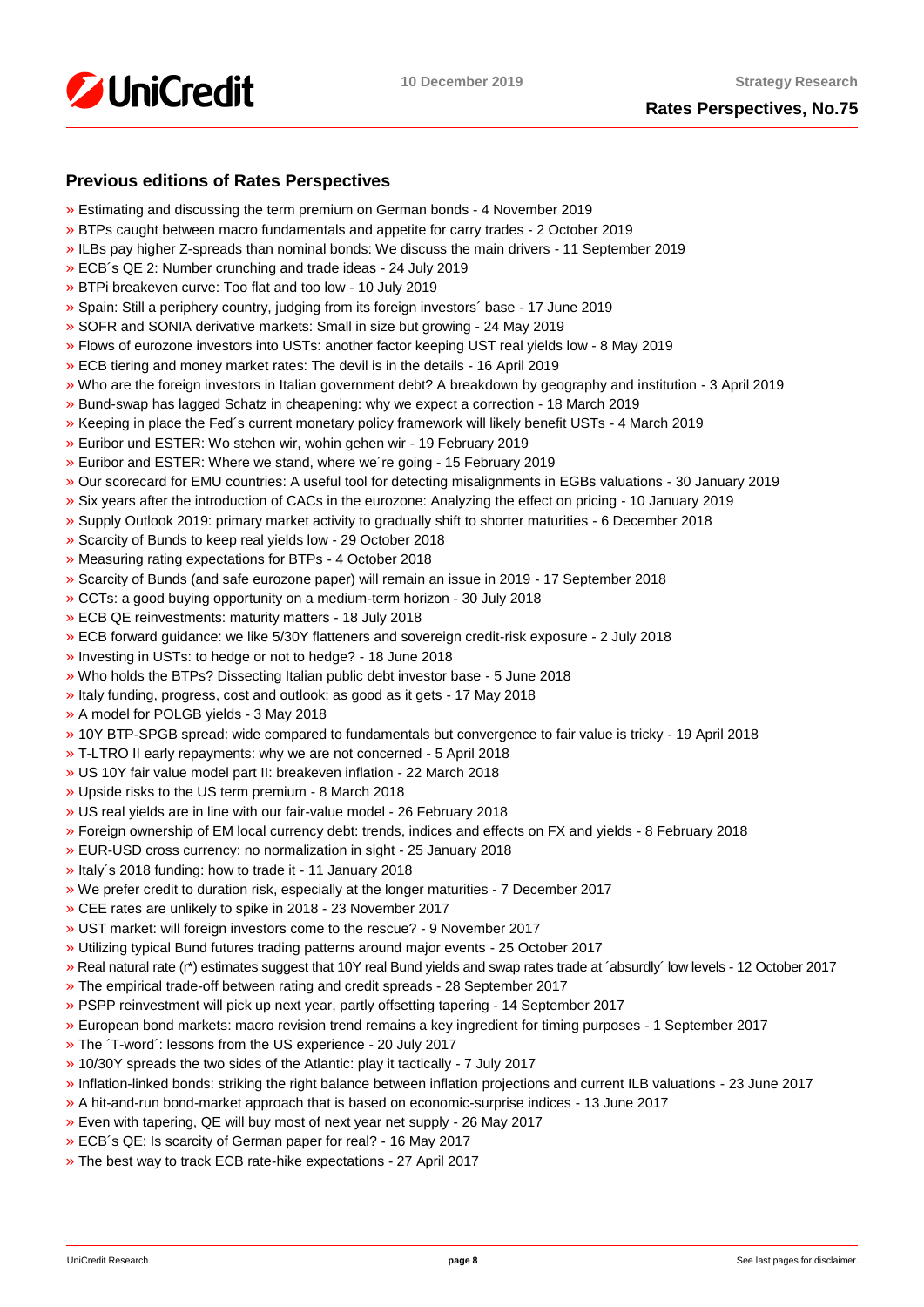

# **Previous editions of Rates Perspectives**

- [»](https://www.research.unicredit.eu/DocsKey/fxfistrategy_docs_2019_175097.ashx?EXT=pdf&KEY=KZGTuQCn4lsvclJnUgseVEGHysWJl2NsalH1w8p3dPurdMMtjayMTw==&T=1) Estimating and discussing the term premium on German bonds 4 November 2019
- [»](https://www.research.unicredit.eu/DocsKey/fxfistrategy_docs_2019_174747.ashx?EXT=pdf&KEY=KZGTuQCn4lsvclJnUgseVEGHysWJl2NshFxQRxeXxVYxi2cgVzAqQQ==&T=1) BTPs caught between macro fundamentals and appetite for carry trades 2 October 2019
- [»](https://www.research.unicredit.eu/DocsKey/fxfistrategy_docs_2019_174503.ashx?EXT=pdf&KEY=KZGTuQCn4lsvclJnUgseVEGHysWJl2NsCFMwr5HzJ17_YmUeW60-Ag==&T=1) ILBs pay higher Z-spreads than nominal bonds: We discuss the main drivers 11 September 2019
- [»](https://www.research.unicredit.eu/DocsKey/fxfistrategy_docs_2019_173046.ashx?EXT=pdf&KEY=KZGTuQCn4lsvclJnUgseVEGHysWJl2NsYmN8grxHaGuMlNiR5FCG-Q==&T=1) ECB´s QE 2: Number crunching and trade ideas 24 July 2019
- [»](https://www.research.unicredit.eu/DocsKey/fxfistrategy_docs_2019_172874.ashx?EXT=pdf&KEY=KZGTuQCn4lsvclJnUgseVEGHysWJl2NsU6w4VN1R8ufrSpaKVsG8hw==&T=1) BTPi breakeven curve: Too flat and too low 10 July 2019
- [»](https://www.research.unicredit.eu/DocsKey/fxfistrategy_docs_2019_172612.ashx?EXT=pdf&KEY=KZGTuQCn4lsvclJnUgseVEGHysWJl2Ns2prJ4cLGo5kZAYkhTSIwiQ==&T=1) Spain: Still a periphery country, judging from its foreign investors´ base 17 June 2019
- [»](https://www.research.unicredit.eu/DocsKey/fxfistrategy_docs_2019_172362.ashx?EXT=pdf&KEY=KZGTuQCn4lsvclJnUgseVEGHysWJl2NsmV7mtWY1YutdeERi5OnkvA==&T=1) SOFR and SONIA derivative markets: Small in size but growing 24 May 2019
- [»](https://www.research.unicredit.eu/DocsKey/fxfistrategy_docs_2019_171193.ashx?EXT=pdf&KEY=KZGTuQCn4lsvclJnUgseVEGHysWJl2NsQ363zHJuO-4ubO81Q09WWw==&T=1) Flows of eurozone investors into USTs: another factor keeping UST real yields low 8 May 2019
- [»](https://www.research.unicredit.eu/DocsKey/fxfistrategy_docs_2019_170974.ashx?EXT=pdf&KEY=KZGTuQCn4lsvclJnUgseVEGHysWJl2NsRTomOaKjVl9lFV8OK8lXLA==&T=1) ECB tiering and money market rates: The devil is in the details 16 April 2019
- [»](https://www.research.unicredit.eu/DocsKey/fxfistrategy_docs_2019_170284.ashx?EXT=pdf&KEY=KZGTuQCn4lsvclJnUgseVEGHysWJl2NsEwG0xblWxFK9BVQAB4eryA==&T=1) Who are the foreign investors in Italian government debt? A breakdown by geography and institution 3 April 2019
- [»](https://www.research.unicredit.eu/DocsKey/fxfistrategy_docs_2019_170066.ashx?EXT=pdf&KEY=KZGTuQCn4lsvclJnUgseVEGHysWJl2NsNOWCS-vPqTdpZhijXIyJ5Q==&T=1) Bund-swap has lagged Schatz in cheapening: why we expect a correction 18 March 2019
- [»](https://www.research.unicredit.eu/DocsKey/fxfistrategy_docs_2019_169883.ashx?EXT=pdf&KEY=KZGTuQCn4lsvclJnUgseVEGHysWJl2Nsz9dXRsXwpAsZUUpCjW9eRw==&T=1) Keeping in place the Fed´s current monetary policy framework will likely benefit USTs 4 March 2019
- [»](https://www.research.unicredit.eu/DocsKey/fxfistrategy_docs_2019_169737.ashx?EXT=pdf&KEY=KZGTuQCn4lsvclJnUgseVEGHysWJl2NsVk__5HHS-wtgogqSIYe_pg==&T=1) Euribor und ESTER: Wo stehen wir, wohin gehen wir 19 February 2019
- [»](https://www.research.unicredit.eu/DocsKey/fxfistrategy_docs_2019_169681.ashx?EXT=pdf&KEY=KZGTuQCn4lsvclJnUgseVEGHysWJl2NsvFsIe2gTc3YHhaYXz8CyMQ==&T=1) Euribor and ESTER: Where we stand, where we´re going 15 February 2019
- [»](https://www.research.unicredit.eu/DocsKey/fxfistrategy_docs_2019_168976.ashx?EXT=pdf&KEY=KZGTuQCn4lsvclJnUgseVEGHysWJl2NsBRIhGRL9OpCAofKNpRdbqw==&T=1) Our scorecard for EMU countries: A useful tool for detecting misalignments in EGBs valuations 30 January 2019
- [»](https://www.research.unicredit.eu/DocsKey/fxfistrategy_docs_2019_168690.ashx?EXT=pdf&KEY=KZGTuQCn4lsvclJnUgseVEGHysWJl2Ns6zwNCeXNSn5_WEAdcnzkSw==&T=1) Six years after the introduction of CACs in the eurozone: Analyzing the effect on pricing 10 January 2019
- [»](https://www.research.unicredit.eu/DocsKey/fxfistrategy_docs_2018_168081.ashx?EXT=pdf&KEY=KZGTuQCn4lsvclJnUgseVGkpNcRXR5-WdODblZpTi0A4RE9IYOSOOA==&T=1) Supply Outlook 2019: primary market activity to gradually shift to shorter maturities 6 December 2018
- [»](https://www.research.unicredit.eu/DocsKey/fxfistrategy_docs_2018_167651.ashx?EXT=pdf&KEY=KZGTuQCn4lsvclJnUgseVGkpNcRXR5-WLbIUypeIHxyD3rdrNgjwjg==&T=1) Scarcity of Bunds to keep real yields low 29 October 2018
- [»](https://www.research.unicredit.eu/DocsKey/fxfistrategy_docs_2018_167362.ashx?EXT=pdf&KEY=KZGTuQCn4lsvclJnUgseVGkpNcRXR5-W7gOokc4_UKGkd-Hy3Wx_vg==&T=1) Measuring rating expectations for BTPs 4 October 2018
- [»](https://www.research.unicredit.eu/DocsKey/fxfistrategy_docs_2018_167162.ashx?EXT=pdf&KEY=KZGTuQCn4lsvclJnUgseVGkpNcRXR5-WLonU6aW-riDJHVt4RBRKJQ==&T=1) Scarcity of Bunds (and safe eurozone paper) will remain an issue in 2019 17 September 2018
- [»](https://www.research.unicredit.eu/DocsKey/fxfistrategy_docs_2018_166735.ashx?EXT=pdf&KEY=KZGTuQCn4lsvclJnUgseVGkpNcRXR5-WJcyLXLDNCHrk_1IGoA85eQ==&T=1) CCTs: a good buying opportunity on a medium-term horizon 30 July 2018
- [»](https://www.research.unicredit.eu/DocsKey/fxfistrategy_docs_2018_165506.ashx?EXT=pdf&KEY=KZGTuQCn4lsvclJnUgseVGkpNcRXR5-WelAdBLCjwv2CsrEf1G_7vA==&T=1) ECB QE reinvestments: maturity matters 18 July 2018
- [»](https://www.research.unicredit.eu/DocsKey/fxfistrategy_docs_2018_165296.ashx?EXT=pdf&KEY=KZGTuQCn4lsvclJnUgseVGkpNcRXR5-Wl83fmK6epfPJRPrdFbpp8A==&T=1) ECB forward guidance: we like 5/30Y flatteners and sovereign credit-risk exposure 2 July 2018
- [»](https://www.research.unicredit.eu/DocsKey/fxfistrategy_docs_2018_165113.ashx?EXT=pdf&KEY=KZGTuQCn4lsvclJnUgseVGkpNcRXR5-WdMw8JSHF2Ih6d0UhMlk5iA==&T=1) Investing in USTs: to hedge or not to hedge? 18 June 2018
- [»](https://www.research.unicredit.eu/DocsKey/fxfistrategy_docs_2018_164967.ashx?EXT=pdf&KEY=KZGTuQCn4lsvclJnUgseVGkpNcRXR5-WLoNFhsvJBXHbE69WfFEurg==&T=1) Who holds the BTPs? Dissecting Italian public debt investor base 5 June 2018
- [»](https://www.research.unicredit.eu/DocsKey/fxfistrategy_docs_2018_164775.ashx?EXT=pdf&KEY=KZGTuQCn4lsvclJnUgseVGkpNcRXR5-WZF21zKfJuZ_5iLWWjJ2GpQ==&T=1) Italy funding, progress, cost and outlook: as good as it gets 17 May 2018
- [»](https://www.research.unicredit.eu/DocsKey/fxfistrategy_docs_2018_164589.ashx?EXT=pdf&KEY=KZGTuQCn4lsvclJnUgseVGkpNcRXR5-WHckxsj1laTH6N7QU0C6uzQ==&T=1) A model for POLGB yields 3 May 2018
- [»](https://www.research.unicredit.eu/DocsKey/fxfistrategy_docs_2018_164411.ashx?EXT=pdf&KEY=KZGTuQCn4lsvclJnUgseVGkpNcRXR5-W4Dmv9B6O0atd94s-0yUFlA==&T=1) 10Y BTP-SPGB spread: wide compared to fundamentals but convergence to fair value is tricky 19 April 2018
- [»](https://www.research.unicredit.eu/DocsKey/fxfistrategy_docs_2018_164242.ashx?EXT=pdf&KEY=KZGTuQCn4lsvclJnUgseVGkpNcRXR5-WFjPeFcDloA2Q8h6v6oWNhw==&T=1) T-LTRO II early repayments: why we are not concerned 5 April 2018
- [»](https://www.research.unicredit.eu/DocsKey/fxfistrategy_docs_2018_164099.ashx?EXT=pdf&KEY=KZGTuQCn4lsvclJnUgseVGkpNcRXR5-WK-s5y8Kxt0FmgxTPbhrZtA==&T=1) US 10Y fair value model part II: breakeven inflation 22 March 2018
- [»](https://www.research.unicredit.eu/DocsKey/fxfistrategy_docs_2018_163914.ashx?EXT=pdf&KEY=KZGTuQCn4lsvclJnUgseVGkpNcRXR5-W6uAyZrmo_juOWp31QBzAwQ==&T=1) Upside risks to the US term premium 8 March 2018
- [»](https://www.research.unicredit.eu/DocsKey/fxfistrategy_docs_2018_163795.ashx?EXT=pdf&KEY=KZGTuQCn4lsvclJnUgseVGkpNcRXR5-W31oteEsRkw-wRr-E75wyXQ==&T=1) US real yields are in line with our fair-value model 26 February 2018
- [»](https://www.research.unicredit.eu/DocsKey/fxfistrategy_docs_2018_163569.ashx?EXT=pdf&KEY=KZGTuQCn4lsvclJnUgseVGkpNcRXR5-WOwinUv5yvR4A_iRZMMXqUg==&T=1) Foreign ownership of EM local currency debt: trends, indices and effects on FX and yields 8 February 2018
- [»](https://www.research.unicredit.eu/DocsKey/fxfistrategy_docs_2018_163350.ashx?EXT=pdf&KEY=KZGTuQCn4lsvclJnUgseVGkpNcRXR5-WSfc0pL8-Nw1KrcsN90zewQ==&T=1) EUR-USD cross currency: no normalization in sight 25 January 2018
- [»](https://www.research.unicredit.eu/DocsKey/fxfistrategy_docs_2018_163165.ashx?EXT=pdf&KEY=KZGTuQCn4lsvclJnUgseVGkpNcRXR5-WizOxQ_qd2pKve_EGsME8pw==&T=1) Italy´s 2018 funding: how to trade it 11 January 2018
- [»](https://www.research.unicredit.eu/DocsKey/fxfistrategy_docs_2017_162876.ashx?EXT=pdf&KEY=KZGTuQCn4lsvclJnUgseVBaZnvdiHIQjhlAgRXaAk9xO-WbIBHzmug==&T=1) We prefer credit to duration risk, especially at the longer maturities 7 December 2017
- [»](https://www.research.unicredit.eu/DocsKey/fxfistrategy_docs_2017_162702.ashx?EXT=pdf&KEY=KZGTuQCn4lsvclJnUgseVBaZnvdiHIQj7kV9jp7KGvx_rQqXOlHcBw==&T=1) CEE rates are unlikely to spike in 2018 23 November 2017
- [»](https://www.research.unicredit.eu/DocsKey/fxfistrategy_docs_2017_162521.ashx?EXT=pdf&KEY=KZGTuQCn4lsvclJnUgseVBaZnvdiHIQjHP5HTV6m0S1CZt4h4v7Z7Q==&T=1) UST market: will foreign investors come to the rescue? 9 November 2017
- [»](https://www.research.unicredit.eu/DocsKey/fxfistrategy_docs_2017_162320.ashx?EXT=pdf&KEY=KZGTuQCn4lsvclJnUgseVBaZnvdiHIQj7vBnJBqFdLl3ZPdTI9qTEg==&T=1) Utilizing typical Bund futures trading patterns around major events 25 October 2017
- [»](https://www.research.unicredit.eu/DocsKey/fxfistrategy_docs_2017_162088.ashx?EXT=pdf&KEY=KZGTuQCn4lsvclJnUgseVBaZnvdiHIQjLG2elrHjRgNsVyg0ExmjEg==&T=1) Real natural rate (r\*) estimates suggest that 10Y real Bund yields and swap rates trade at ´absurdly´ low levels 12 October 2017
- [»](https://www.research.unicredit.eu/DocsKey/fxfistrategy_docs_2017_161898.ashx?EXT=pdf&KEY=KZGTuQCn4lsvclJnUgseVBaZnvdiHIQjrj0KZCHHFHi6OScMLpHSeg==&T=1) The empirical trade-off between rating and credit spreads 28 September 2017
- [»](https://www.research.unicredit.eu/DocsKey/fxfistrategy_docs_2017_161722.ashx?EXT=pdf&KEY=KZGTuQCn4lsvclJnUgseVBaZnvdiHIQj2RiMvOdXRPDdJKTt9ts8Kg==&T=1) PSPP reinvestment will pick up next year, partly offsetting tapering 14 September 2017
- [»](https://www.research.unicredit.eu/DocsKey/fxfistrategy_docs_2017_161534.ashx?EXT=pdf&KEY=KZGTuQCn4lsvclJnUgseVBaZnvdiHIQjVxL97NWBQ2U0RIuZAXWj6Q==&T=1) European bond markets: macro revision trend remains a key ingredient for timing purposes 1 September 2017
- [»](https://www.research.unicredit.eu/DocsKey/fxfistrategy_docs_2017_161025.ashx?EXT=pdf&KEY=KZGTuQCn4lsvclJnUgseVBaZnvdiHIQjHTPE5wRiE1gKKsnUfpC3fQ==&T=1) The ´T-word´: lessons from the US experience 20 July 2017
- [»](https://www.research.unicredit.eu/DocsKey/fxfistrategy_docs_2017_160810.ashx?EXT=pdf&KEY=KZGTuQCn4lsvclJnUgseVBaZnvdiHIQjtaQqMdLfQgUWFRAgBEcyHQ==&T=1) 10/30Y spreads the two sides of the Atlantic: play it tactically 7 July 2017
- [»](https://www.research.unicredit.eu/DocsKey/fxfistrategy_docs_2017_160511.ashx?EXT=pdf&KEY=KZGTuQCn4lsvclJnUgseVBaZnvdiHIQjPT9pq4vd_J0MIyuHYzmaBw==&T=1) Inflation-linked bonds: striking the right balance between inflation projections and current ILB valuations 23 June 2017
- [»](https://www.research.unicredit.eu/DocsKey/fxfistrategy_docs_2017_160322.ashx?EXT=pdf&KEY=KZGTuQCn4lsvclJnUgseVBaZnvdiHIQj1LVUoPnmEtgESKpkaXht5w==&T=1) A hit-and-run bond-market approach that is based on economic-surprise indices 13 June 2017
- [»](https://www.research.unicredit.eu/DocsKey/fxfistrategy_docs_2017_160058.ashx?EXT=pdf&KEY=KZGTuQCn4lsvclJnUgseVBaZnvdiHIQjH5VoE968jPjoHa3tNMC3oA==&T=1) Even with tapering, QE will buy most of next year net supply 26 May 2017
- [»](https://www.research.unicredit.eu/DocsKey/fxfistrategy_docs_2017_159905.ashx?EXT=pdf&KEY=KZGTuQCn4lsvclJnUgseVBaZnvdiHIQj1qWFB6Im-fGVtLgOI6tXRg==&T=1) ECB´s QE: Is scarcity of German paper for real? 16 May 2017
- [»](https://www.research.unicredit.eu/DocsKey/fxfistrategy_docs_2017_159658.ashx?EXT=pdf&KEY=KZGTuQCn4lsvclJnUgseVBaZnvdiHIQj19DebLb_pK-VRY0advYxRg==&T=1) The best way to track ECB rate-hike expectations 27 April 2017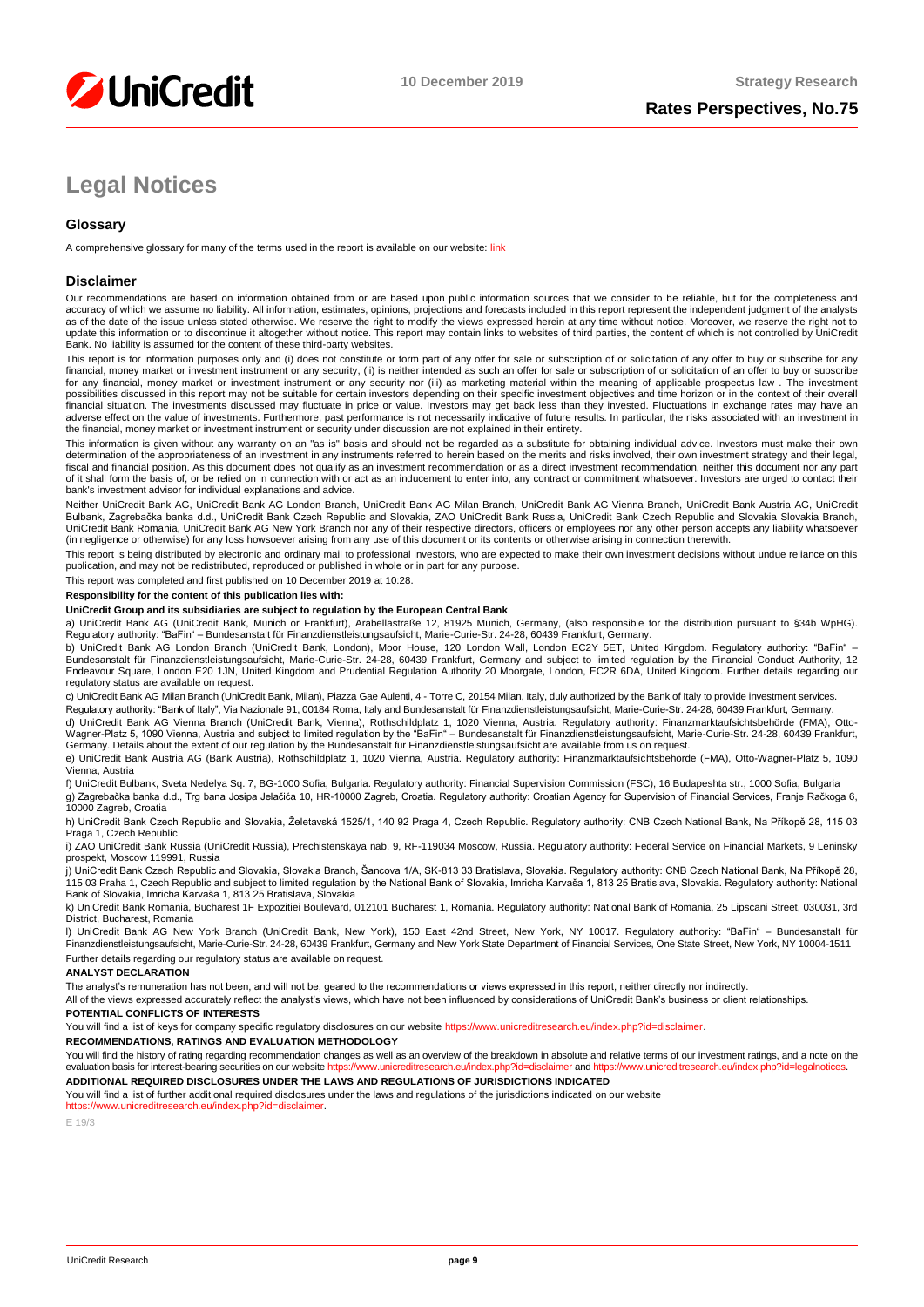

# **Legal Notices**

# **Glossary**

A comprehensive glossary for many of the terms used in the report is available on our website[: link](https://www.unicreditresearch.eu/index.php?id=glossary)

## **Disclaimer**

Our recommendations are based on information obtained from or are based upon public information sources that we consider to be reliable, but for the completeness and accuracy of which we assume no liability. All information, estimates, opinions, projections and forecasts included in this report represent the independent judgment of the analysts as of the date of the issue unless stated otherwise. We reserve the right to modify the views expressed herein at any time without notice. Moreover, we reserve the right not to update this information or to discontinue it altogether without notice. This report may contain links to websites of third parties, the content of which is not controlled by UniCredit<br>Bank. No liability is assumed for the

This report is for information purposes only and (i) does not constitute or form part of any offer for sale or subscription of or solicitation of any offer to buy or subscribe for any<br>financial, money market or investment for any financial, money market or investment instrument or any security nor (iii) as marketing material within the meaning of applicable prospectus law . The investment possibilities discussed in this report may not be suitable for certain investors depending on their specific investment objectives and time horizon or in the context of their overall<br>financial situation. The investments di adverse effect on the value of investments. Furthermore, past performance is not necessarily indicative of future results. In particular, the risks associated with an investment in the financial, money market or investment instrument or security under discussion are not explained in their entirety.

This information is given without any warranty on an "as is" basis and should not be regarded as a substitute for obtaining individual advice. Investors must make their own determination of the appropriateness of an investment in any instruments referred to herein based on the merits and risks involved, their own investment strategy and their legal,<br>fiscal and financial position. As this docu of it shall form the basis of, or be relied on in connection with or act as an inducement to enter into, any contract or commitment whatsoever. Investors are urged to contact their bank's investment advisor for individual explanations and advice.

Neither UniCredit Bank AG, UniCredit Bank AG London Branch, UniCredit Bank AG Milan Branch, UniCredit Bank AG Vienna Branch, UniCredit Bank Austria AG, UniCredit Bulbank, Zagrebačka banka d.d., UniCredit Bank Czech Republic and Slovakia, ZAO UniCredit Bank Russia, UniCredit Bank Czech Republic and Slovakia Slovakia Branch,<br>UniCredit Bank Romania, UniCredit Bank AG New York Branch n (in negligence or otherwise) for any loss howsoever arising from any use of this document or its contents or otherwise arising in connection therewith.

This report is being distributed by electronic and ordinary mail to professional investors, who are expected to make their own investment decisions without undue reliance on this publication, and may not be redistributed, reproduced or published in whole or in part for any purpose.

This report was completed and first published on 10 December 2019 at 10:28.

#### **Responsibility for the content of this publication lies with:**

#### **UniCredit Group and its subsidiaries are subject to regulation by the European Central Bank**

a) UniCredit Bank AG (UniCredit Bank, Munich or Frankfurt), Arabellastraße 12, 81925 Munich, Germany, (also responsible for the distribution pursuant to §34b WpHG). Regulatory authority: "BaFin" – Bundesanstalt für Finanzdienstleistungsaufsicht, Marie-Curie-Str. 24-28, 60439 Frankfurt, Germany.

b) UniCredit Bank AG London Branch (UniCredit Bank, London), Moor House, 120 London Wall, London EC2Y 5ET, United Kingdom. Regulatory authority: "BaFin" –<br>Bundesanstalt für Finanzdienstleistungsaufsicht, Marie-Curie-Str. 2 regulatory status are available on request.

c) UniCredit Bank AG Milan Branch (UniCredit Bank, Milan), Piazza Gae Aulenti, 4 - Torre C, 20154 Milan, Italy, duly authorized by the Bank of Italy to provide investment services.

Regulatory authority: "Bank of Italy", Via Nazionale 91, 00184 Roma, Italy and Bundesanstalt für Finanzdienstleistungsaufsicht, Marie-Curie-Str. 24-28, 60439 Frankfurt, Germany. d) UniCredit Bank AG Vienna Branch (UniCredit Bank, Vienna), Rothschildplatz 1, 1020 Vienna, Austria. Regulatory authority: Finanzmarktaufsichtsbehörde (FMA), Otto-Wagner-Platz 5, 1090 Vienna, Austria and subject to limited regulation by the "BaFin" – Bundesanstalt für Finanzdienstleistungsaufsicht, Marie-Curie-Str. 24-28, 60439 Frankfurt,<br>Germany. Details about the extent of our reg

e) UniCredit Bank Austria AG (Bank Austria), Rothschildplatz 1, 1020 Vienna, Austria. Regulatory authority: Finanzmarktaufsichtsbehörde (FMA), Otto-Wagner-Platz 5, 1090 Vienna, Austria

f) UniCredit Bulbank, Sveta Nedelya Sq. 7, BG-1000 Sofia, Bulgaria. Regulatory authority: Financial Supervision Commission (FSC), 16 Budapeshta str., 1000 Sofia, Bulgaria g) Zagrebačka banka d.d., Trg bana Josipa Jelačića 10, HR-10000 Zagreb, Croatia. Regulatory authority: Croatian Agency for Supervision of Financial Services, Franje Račkoga 6, 10000 Zagreb, Croatia

h) UniCredit Bank Czech Republic and Slovakia, Želetavská 1525/1, 140 92 Praga 4, Czech Republic. Regulatory authority: CNB Czech National Bank, Na Příkopě 28, 115 03 Praga 1, Czech Republic

i) ZAO UniCredit Bank Russia (UniCredit Russia), Prechistenskaya nab. 9, RF-119034 Moscow, Russia. Regulatory authority: Federal Service on Financial Markets, 9 Leninsky prospekt, Moscow 119991, Russia

j) UniCredit Bank Czech Republic and Slovakia, Slovakia Branch, Šancova 1/A, SK-813 33 Bratislava, Slovakia. Regulatory authority: CNB Czech National Bank, Na Příkopě 28, 115 03 Praha 1, Czech Republic and subject to limited regulation by the National Bank of Slovakia, Imricha Karvaša 1, 813 25 Bratislava, Slovakia. Regulatory authority: National<br>Bank of Slovakia, Imricha Karvaša 1, 813 25

k) UniCredit Bank Romania, Bucharest 1F Expozitiei Boulevard, 012101 Bucharest 1, Romania. Regulatory authority: National Bank of Romania, 25 Lipscani Street, 030031, 3rd District, Bucharest, Romania

l) UniCredit Bank AG New York Branch (UniCredit Bank, New York), 150 East 42nd Street, New York, NY 10017. Regulatory authority: "BaFin" – Bundesanstalt für Finanzdienstleistungsaufsicht, Marie-Curie-Str. 24-28, 60439 Frankfurt, Germany and New York State Department of Financial Services, One State Street, New York, NY 10004-1511 Further details regarding our regulatory status are available on request.

#### **ANALYST DECLARATION**

The analyst's remuneration has not been, and will not be, geared to the recommendations or views expressed in this report, neither directly nor indirectly.

All of the views expressed accurately reflect the analyst's views, which have not been influenced by considerations of UniCredit Bank's business or client relationships.

#### **POTENTIAL CONFLICTS OF INTERESTS**

You will find a list of keys for company specific regulatory disclosures on our websit[e https://www.unicreditresearch.eu/index.php?id=disclaimer.](https://www.unicreditresearch.eu/index.php?id=disclaimer)

#### **RECOMMENDATIONS, RATINGS AND EVALUATION METHODOLOGY**

You will find the history of rating regarding recommendation changes as well as an overview of the breakdown in absolute and relative terms of our investment ratings, and a note on the evaluation basis for interest-bearing evaluation basis for interest-bearing securities on our website https://www.unicreditre **ADDITIONAL REQUIRED DISCLOSURES UNDER THE LAWS AND REGULATIONS OF JURISDICTIONS INDICATED**

You will find a list of further additional required disclosures under the laws and regulations of the jurisdictions indicated on our website

#### [https://www.unicreditresearch.eu/index.php?id=disclaimer.](https://www.unicreditresearch.eu/index.php?id=disclaimer)

 $F 19/3$